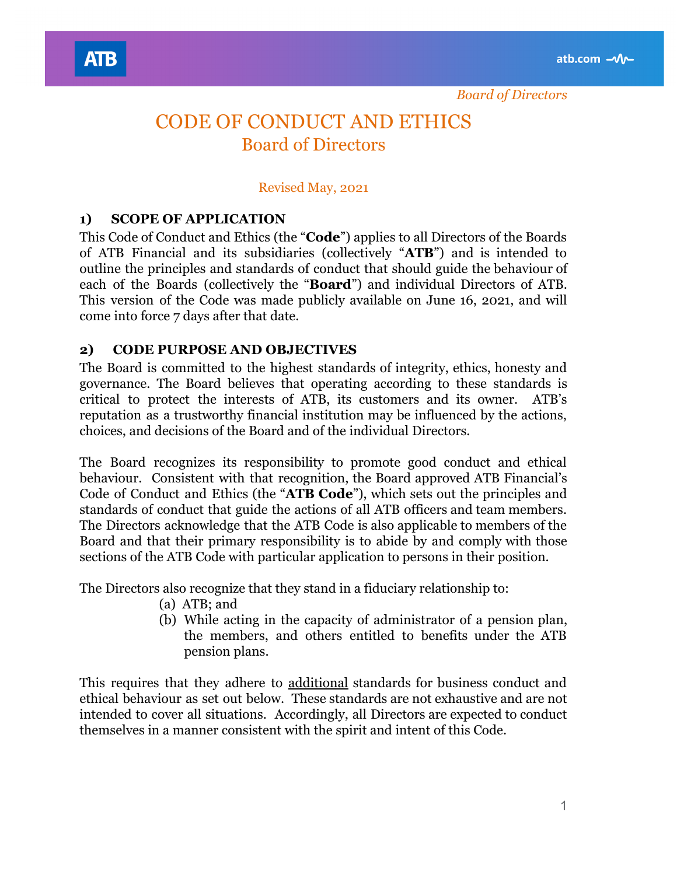

# **ATB**

# CODE OF CONDUCT AND ETHICS Board of Directors

## Revised May, 2021

# **1) SCOPE OF APPLICATION**

This Code of Conduct and Ethics (the "**Code**") applies to all Directors of the Boards of ATB Financial and its subsidiaries (collectively "**ATB**") and is intended to outline the principles and standards of conduct that should guide the behaviour of each of the Boards (collectively the "**Board**") and individual Directors of ATB. This version of the Code was made publicly available on June 16, 2021, and will come into force 7 days after that date.

# **2) CODE PURPOSE AND OBJECTIVES**

The Board is committed to the highest standards of integrity, ethics, honesty and governance. The Board believes that operating according to these standards is critical to protect the interests of ATB, its customers and its owner. ATB's reputation as a trustworthy financial institution may be influenced by the actions, choices, and decisions of the Board and of the individual Directors.

The Board recognizes its responsibility to promote good conduct and ethical behaviour. Consistent with that recognition, the Board approved ATB Financial's Code of Conduct and Ethics (the "**ATB Code**"), which sets out the principles and standards of conduct that guide the actions of all ATB officers and team members. The Directors acknowledge that the ATB Code is also applicable to members of the Board and that their primary responsibility is to abide by and comply with those sections of the ATB Code with particular application to persons in their position.

The Directors also recognize that they stand in a fiduciary relationship to:

- (a) ATB; and
- (b) While acting in the capacity of administrator of a pension plan, the members, and others entitled to benefits under the ATB pension plans.

This requires that they adhere to additional standards for business conduct and ethical behaviour as set out below. These standards are not exhaustive and are not intended to cover all situations. Accordingly, all Directors are expected to conduct themselves in a manner consistent with the spirit and intent of this Code.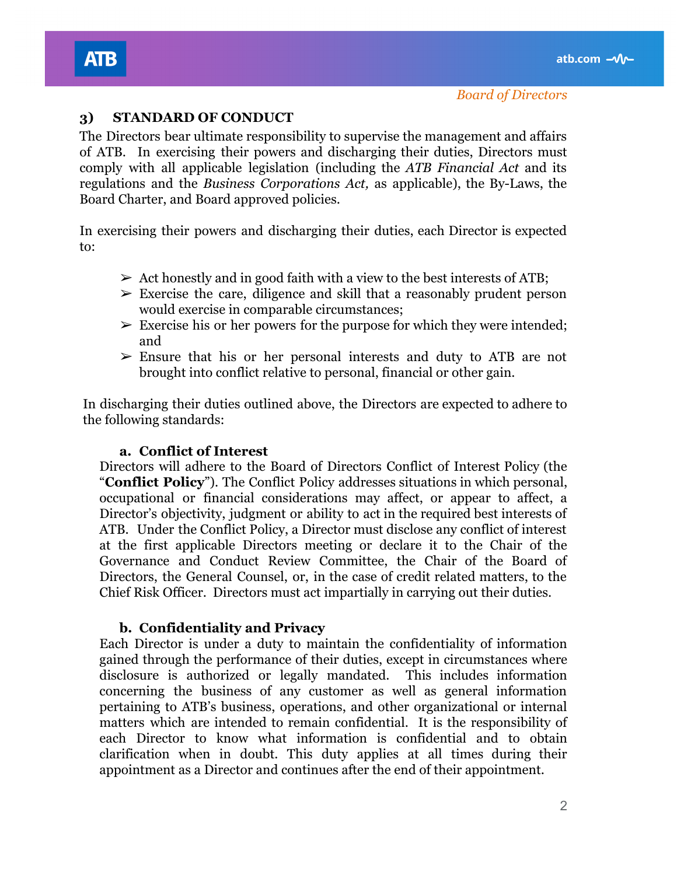### **3) STANDARD OF CONDUCT**

The Directors bear ultimate responsibility to supervise the management and affairs of ATB. In exercising their powers and discharging their duties, Directors must comply with all applicable legislation (including the *ATB Financial Act* and its regulations and the *Business Corporations Act,* as applicable), the By-Laws, the Board Charter, and Board approved policies.

In exercising their powers and discharging their duties, each Director is expected to:

- $\triangleright$  Act honestly and in good faith with a view to the best interests of ATB;
- $\triangleright$  Exercise the care, diligence and skill that a reasonably prudent person would exercise in comparable circumstances;
- $\triangleright$  Exercise his or her powers for the purpose for which they were intended; and
- $\triangleright$  Ensure that his or her personal interests and duty to ATB are not brought into conflict relative to personal, financial or other gain.

In discharging their duties outlined above, the Directors are expected to adhere to the following standards:

#### **a. Conflict of Interest**

Directors will adhere to the Board of Directors Conflict of Interest Policy (the "**Conflict Policy**"). The Conflict Policy addresses situations in which personal, occupational or financial considerations may affect, or appear to affect, a Director's objectivity, judgment or ability to act in the required best interests of ATB. Under the Conflict Policy, a Director must disclose any conflict of interest at the first applicable Directors meeting or declare it to the Chair of the Governance and Conduct Review Committee, the Chair of the Board of Directors, the General Counsel, or, in the case of credit related matters, to the Chief Risk Officer. Directors must act impartially in carrying out their duties.

#### **b. Confidentiality and Privacy**

Each Director is under a duty to maintain the confidentiality of information gained through the performance of their duties, except in circumstances where disclosure is authorized or legally mandated. This includes information concerning the business of any customer as well as general information pertaining to ATB's business, operations, and other organizational or internal matters which are intended to remain confidential. It is the responsibility of each Director to know what information is confidential and to obtain clarification when in doubt. This duty applies at all times during their appointment as a Director and continues after the end of their appointment.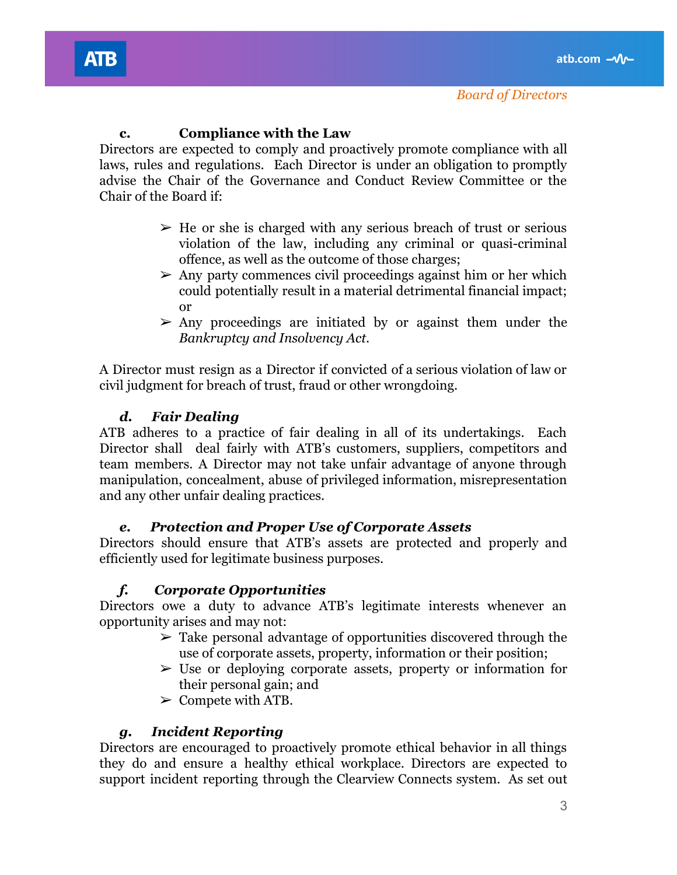#### *Board of Directors*

## **c. Compliance with the Law**

Directors are expected to comply and proactively promote compliance with all laws, rules and regulations. Each Director is under an obligation to promptly advise the Chair of the Governance and Conduct Review Committee or the Chair of the Board if:

- $\triangleright$  He or she is charged with any serious breach of trust or serious violation of the law, including any criminal or quasi-criminal offence, as well as the outcome of those charges;
- $\geq$  Any party commences civil proceedings against him or her which could potentially result in a material detrimental financial impact; or
- $\geq$  Any proceedings are initiated by or against them under the *Bankruptcy and Insolvency Act*.

A Director must resign as a Director if convicted of a serious violation of law or civil judgment for breach of trust, fraud or other wrongdoing.

## *d. Fair Dealing*

ATB adheres to a practice of fair dealing in all of its undertakings. Each Director shall deal fairly with ATB's customers, suppliers, competitors and team members. A Director may not take unfair advantage of anyone through manipulation, concealment, abuse of privileged information, misrepresentation and any other unfair dealing practices.

### *e. Protection and Proper Use of Corporate Assets*

Directors should ensure that ATB's assets are protected and properly and efficiently used for legitimate business purposes.

### *f. Corporate Opportunities*

Directors owe a duty to advance ATB's legitimate interests whenever an opportunity arises and may not:

- $\triangleright$  Take personal advantage of opportunities discovered through the use of corporate assets, property, information or their position;
- ➢ Use or deploying corporate assets, property or information for their personal gain; and
- $\geq$  Compete with ATB.

### *g. Incident Reporting*

Directors are encouraged to proactively promote ethical behavior in all things they do and ensure a healthy ethical workplace. Directors are expected to support incident reporting through the Clearview Connects system. As set out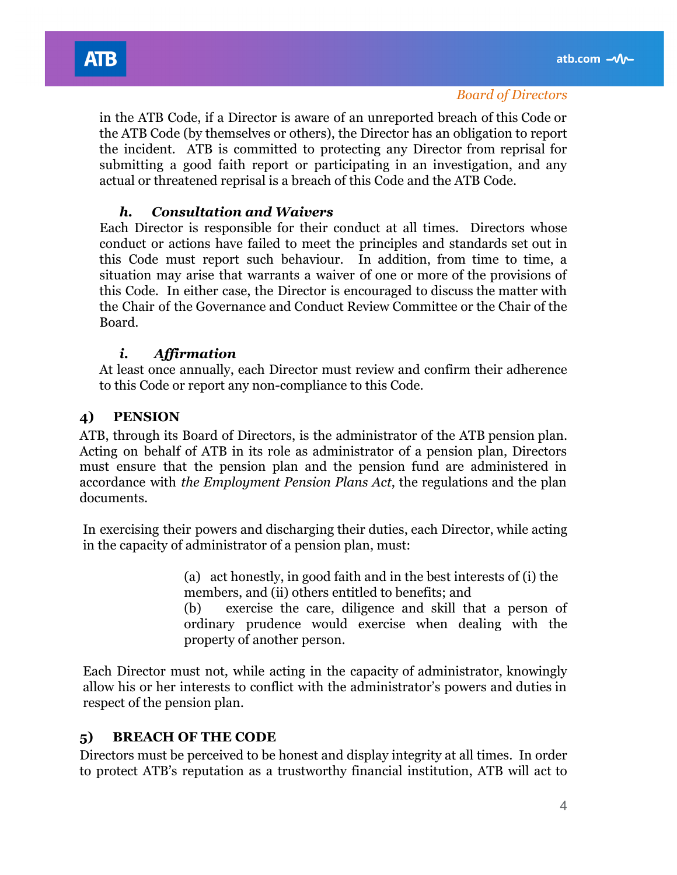#### *Board of Directors*

in the ATB Code, if a Director is aware of an unreported breach of this Code or the ATB Code (by themselves or others), the Director has an obligation to report the incident. ATB is committed to protecting any Director from reprisal for submitting a good faith report or participating in an investigation, and any actual or threatened reprisal is a breach of this Code and the ATB Code.

### *h. Consultation and Waivers*

Each Director is responsible for their conduct at all times. Directors whose conduct or actions have failed to meet the principles and standards set out in this Code must report such behaviour. In addition, from time to time, a situation may arise that warrants a waiver of one or more of the provisions of this Code. In either case, the Director is encouraged to discuss the matter with the Chair of the Governance and Conduct Review Committee or the Chair of the Board.

### *i. Affirmation*

At least once annually, each Director must review and confirm their adherence to this Code or report any non-compliance to this Code.

### **4) PENSION**

ATB, through its Board of Directors, is the administrator of the ATB pension plan. Acting on behalf of ATB in its role as administrator of a pension plan, Directors must ensure that the pension plan and the pension fund are administered in accordance with *the Employment Pension Plans Act*, the regulations and the plan documents.

In exercising their powers and discharging their duties, each Director, while acting in the capacity of administrator of a pension plan, must:

> (a) act honestly, in good faith and in the best interests of (i) the members, and (ii) others entitled to benefits; and

(b) exercise the care, diligence and skill that a person of ordinary prudence would exercise when dealing with the property of another person.

Each Director must not, while acting in the capacity of administrator, knowingly allow his or her interests to conflict with the administrator's powers and duties in respect of the pension plan.

### **5) BREACH OF THE CODE**

Directors must be perceived to be honest and display integrity at all times. In order to protect ATB's reputation as a trustworthy financial institution, ATB will act to